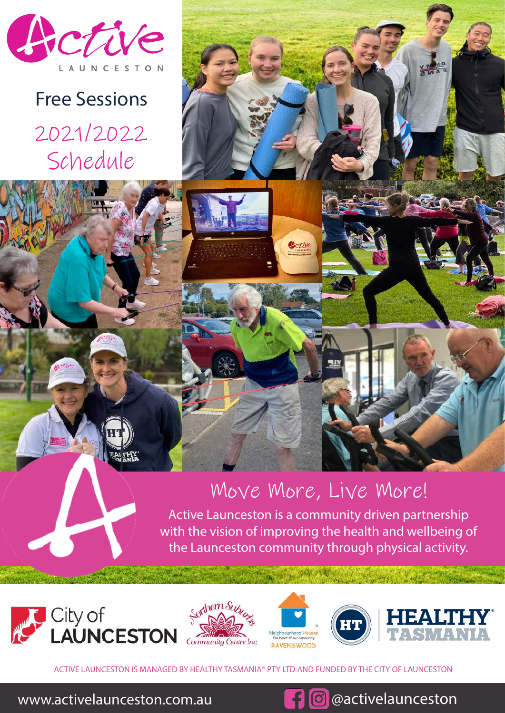

2021/2022 Schedule Free Sessions



Getiv

Active Launceston is a community driven partnership with the vision of improving the health and wellbeing of the Launceston community through physical activity.









ACTIVE LAUNCESTON IS MANAGED BY HEALTHY TASMANIA® PTY LTD AND FUNDED BY THE CITY OF LAUNCESTON

www.activelaunceston.com.au **but also activelaunceston**